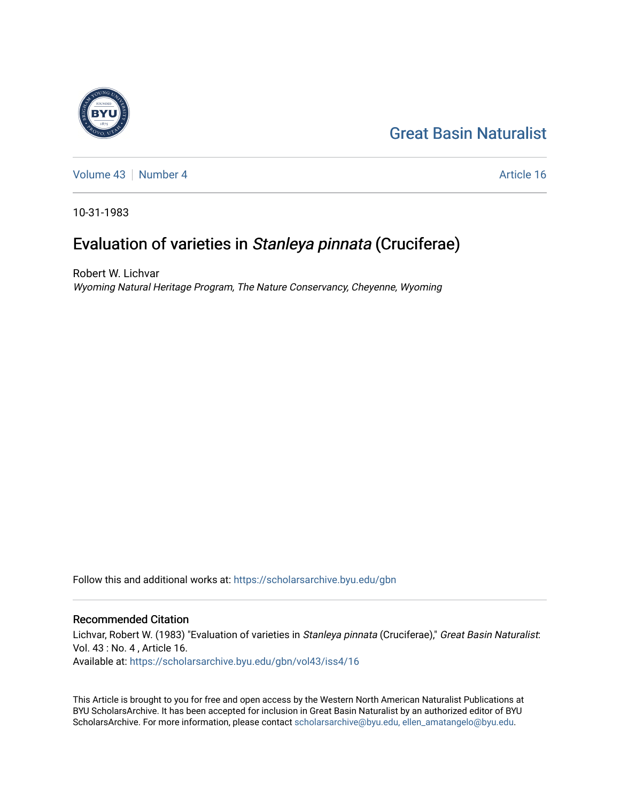# [Great Basin Naturalist](https://scholarsarchive.byu.edu/gbn)



[Volume 43](https://scholarsarchive.byu.edu/gbn/vol43) [Number 4](https://scholarsarchive.byu.edu/gbn/vol43/iss4) Article 16

10-31-1983

# Evaluation of varieties in Stanleya pinnata (Cruciferae)

Robert W. Lichvar Wyoming Natural Heritage Program, The Nature Conservancy, Cheyenne, Wyoming

Follow this and additional works at: [https://scholarsarchive.byu.edu/gbn](https://scholarsarchive.byu.edu/gbn?utm_source=scholarsarchive.byu.edu%2Fgbn%2Fvol43%2Fiss4%2F16&utm_medium=PDF&utm_campaign=PDFCoverPages) 

## Recommended Citation

Lichvar, Robert W. (1983) "Evaluation of varieties in Stanleya pinnata (Cruciferae)," Great Basin Naturalist: Vol. 43 : No. 4 , Article 16. Available at: [https://scholarsarchive.byu.edu/gbn/vol43/iss4/16](https://scholarsarchive.byu.edu/gbn/vol43/iss4/16?utm_source=scholarsarchive.byu.edu%2Fgbn%2Fvol43%2Fiss4%2F16&utm_medium=PDF&utm_campaign=PDFCoverPages) 

This Article is brought to you for free and open access by the Western North American Naturalist Publications at BYU ScholarsArchive. It has been accepted for inclusion in Great Basin Naturalist by an authorized editor of BYU ScholarsArchive. For more information, please contact [scholarsarchive@byu.edu, ellen\\_amatangelo@byu.edu.](mailto:scholarsarchive@byu.edu,%20ellen_amatangelo@byu.edu)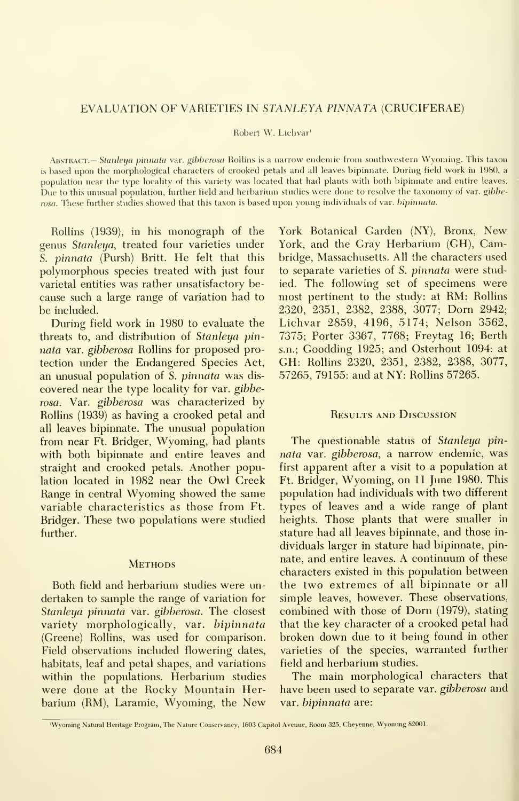### EVALUATION OF VARIETIES IN STANLEYA PINNATA (CRUCIFERAE)

#### Robert W. Lichvar'

Abstract.— Stanleya pinnata var. gibberosa Rollins is <sup>a</sup> narrow endemic from southwestern Wyoming. This taxon is based upon the morphological characters of crooked petals and all leaves bipinnate. During field work in 1980, <sup>a</sup> population near the type locality of this variety was located that had plants with both bipinnate and entire leaves. Due to this unusual population, further field and herbarium studies were done to resolve the taxonomy of var. gibberosa. These further studies showed that this taxon is based upon young individuals of var. bipinnuta.

Rollins (1939), in his monograph of the genus Stanleya, treated four varieties under S. pinnata (Pursh) Britt. He felt that this polymorphous species treated with just four varietal entities was rather unsatisfactory be cause such a large range of variation had to be included.

During field work in 1980 to evaluate the threats to, and distribution of Stanleya pin nata var. gibberosa Rollins for proposed protection under the Endangered Species Act, an unusual population of S. pinnata was dis covered near the type locality for var. gibberosa. Var. gibberosa was characterized by Rollins (1939) as having a crooked petal and all leaves bipinnate. The unusual population from near Ft. Bridger, Wyoming, had plants with both bipinnate and entire leaves and straight and crooked petals. Another population located in 1982 near the Owl Creek Range in central Wyoming showed the same variable characteristics as those from Ft. Bridger. These two populations were studied further.

#### **METHODS**

Both field and herbarium studies were un dertaken to sample the range of variation for Stanleya pinnata var. gibberosa. The closest variety morphologically, var. bipinnata (Greene) Rollins, was used for comparison. Field observations included flowering dates, habitats, leaf and petal shapes, and variations within the populations. Herbarium studies were done at the Rocky Mountain Herbarium (RM), Laramie, Wyoming, the New

York Botanical Garden (NY), Bronx, New York, and the Gray Herbarium (GH), Cambridge, Massachusetts. All the characters used to separate varieties of S. pinnata were studied. The following set of specimens were most pertinent to the study: at RM: Rollins 2320, 2351, 2382, 2388, 3077; Dorn 2942; Lichvar 2859, 4196, 5174; Nelson 3562, 7375; Porter 3367, 7768; Freytag 16; Berth s.n.; Goodding 1925; and Osterhout 1094: at GH: Rollins 2320, 2351, 2382, 2388, 3077, 57265, 79155: and at NY: Rollins 57265.

### Results and Discussion

The questionable status of Stanleya pinnata var. gibberosa, a narrow endemic, was first apparent after a visit to a population at Ft. Bridger, Wyoming, on 11 June 1980. This population had individuals with two different types of leaves and a wide range of plant heights. Those plants that were smaller in stature had all leaves bipinnate, and those in dividuals larger in stature had bipinnate, pinnate, and entire leaves. A continuum of these characters existed in this population between the two extremes of all bipinnate or all simple leaves, however. These observations, combined with those of Dorn (1979), stating that the key character of a crooked petal had broken down due to it being found in other varieties of the species, warranted further field and herbarium studies.

The main morphological characters that have been used to separate var. *gibberosa* and var. bipinnata are:

<sup>&#</sup>x27;Wyoming Natural Heritage Program, The Nature Conservancy, 1603 Capitol Avenue, Room 325, Cheyenne, Wyoming 82001.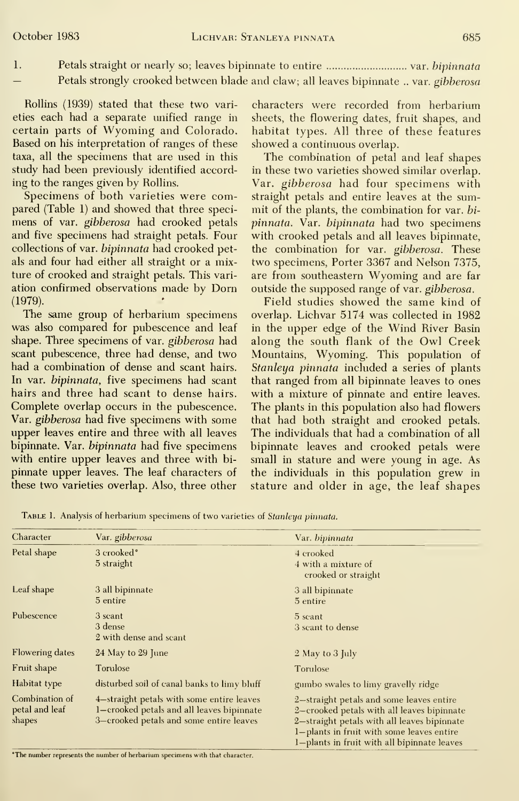- 
- Petals straight or nearly so; leaves bipinnate to entire ............................... var. bipinnata  $\mathbf{I}$ Petals strongly crooked between blade and claw; all leaves bipinnate .. var. gibberosa

Rollins (1939) stated that these two varieties each had a separate unified range in certain parts of Wyoming and Colorado. Based on his interpretation of ranges of these taxa, all the specimens that are used in this study had been previously identified according to the ranges given by Rollins.

Specimens of both varieties were compared (Table 1) and showed that three speci mens of var. gibberosa had crooked petals and five specimens had straight petals. Four collections of var. *bipinnata* had crooked petals and four had either all straight or a mixture of crooked and straight petals. This vari ation confirmed observations made by Dorn (1979).

The same group of herbarium specimens was also compared for pubescence and leaf shape. Three specimens of var. gibberosa had scant pubescence, three had dense, and two had a combination of dense and scant hairs. In var. *bipinnata*, five specimens had scant hairs and three had scant to dense hairs. Complete overlap occurs in the pubescence. Var. gibberosa had five specimens with some upper leaves entire and three with all leaves bipinnate. Var. bipinnata had five specimens with entire upper leaves and three with bi pinnate upper leaves. The leaf characters of these two varieties overlap. Also, three other

characters were recorded from herbarium sheets, the flowering dates, fruit shapes, and habitat types. All three of these features showed a continuous overlap.

The combination of petal and leaf shapes in these two varieties showed similar overlap. Var. gibberosa had four specimens with straight petals and entire leaves at the summit of the plants, the combination for var. bi pinnata. Var. bipinnata had two specimens with crooked petals and all leaves bipinnate, the combination for var. gibberosa. These two specimens. Porter 3367 and Nelson 7375, are from southeastern Wyoming and are far outside the supposed range of var. gibberosa.

Field studies showed the same kind of overlap. Lichvar 5174 was collected in 1982 in the upper edge of the Wind River Basin along the south flank of the Owl Creek Mountains, Wyoming. This population of Stanleya pinnata included a series of plants that ranged from all bipinnate leaves to ones with a mixture of pinnate and entire leaves. The plants in this population also had flowers that had both straight and crooked petals. The individuals that had a combination of all bipinnate leaves and crooked petals were small in stature and were young in age. As the individuals in this population grew in stature and older in age, the leaf shapes

| Character   | Var. gibberosa         | Var. bipinnata |
|-------------|------------------------|----------------|
| Petal shape | 3 crooked <sup>°</sup> | 4 crooked      |

TABLE 1. Analysis of herbarium specimens of two varieties of Stanleya pinnata.

| Character                                  | Var. gibberosa                                                                                                                    | Var. <i>bipinnata</i>                                                                                                                                                                                                             |
|--------------------------------------------|-----------------------------------------------------------------------------------------------------------------------------------|-----------------------------------------------------------------------------------------------------------------------------------------------------------------------------------------------------------------------------------|
| Petal shape                                | 3 crooked <sup>°</sup><br>5 straight                                                                                              | 4 crooked<br>4 with a mixture of<br>crooked or straight                                                                                                                                                                           |
| Leaf shape                                 | 3 all bipinnate<br>5 entire                                                                                                       | 3 all bipinnate<br>5 entire                                                                                                                                                                                                       |
| Pubescence                                 | 3 scant<br>3 dense<br>2 with dense and scant                                                                                      | 5 scant<br>3 scant to dense                                                                                                                                                                                                       |
| <b>Flowering dates</b>                     | 24 May to 29 June                                                                                                                 | 2 May to 3 July                                                                                                                                                                                                                   |
| Fruit shape                                | Torulose                                                                                                                          | Torulose                                                                                                                                                                                                                          |
| Habitat type                               | disturbed soil of canal banks to limy bluff                                                                                       | gumbo swales to limy gravelly ridge                                                                                                                                                                                               |
| Combination of<br>petal and leaf<br>shapes | 4—straight petals with some entire leaves<br>1-crooked petals and all leaves bipinnate<br>3-crooked petals and some entire leaves | 2-straight petals and some leaves entire<br>2-crooked petals with all leaves bipinnate<br>2-straight petals with all leaves bipinnate<br>1-plants in fruit with some leaves entire<br>1-plants in fruit with all bipinnate leaves |

'The number represents the number of herbarium specimens with that character.